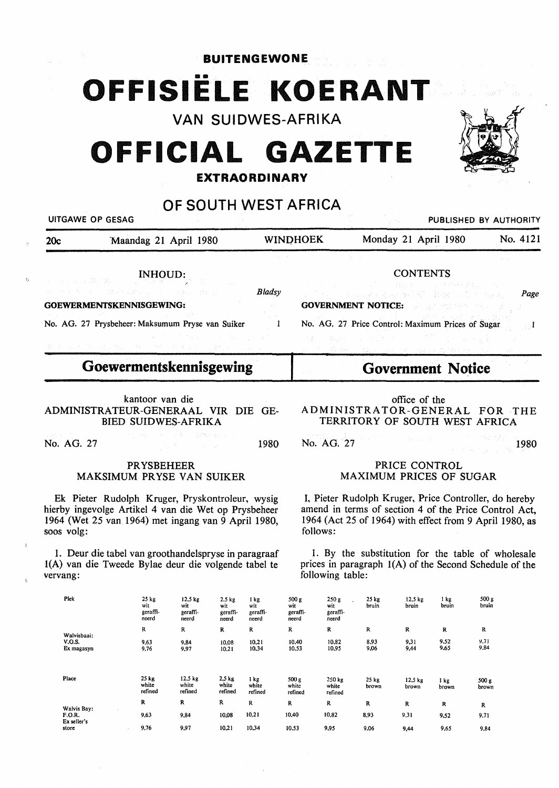**BUITENGEWONE** 

# **OFFISIELE KOERANT**

VAN SUIDWES-AFRIKA

# **OFFICIAL GAZETTE**

## **EXTRAORDINARY**

# OF SOUTH WEST AFRICA

| UITGAWE OP GESAG                   |                                                                                                                                                                                                                                                                                                                                                                                                                                                                                                                                                                                                                               |                             |                 |                                                                                                                                                                                                                                                                                                                                                                                                                                                                                       | PUBLISHED BY AUTHORITY   |          |
|------------------------------------|-------------------------------------------------------------------------------------------------------------------------------------------------------------------------------------------------------------------------------------------------------------------------------------------------------------------------------------------------------------------------------------------------------------------------------------------------------------------------------------------------------------------------------------------------------------------------------------------------------------------------------|-----------------------------|-----------------|---------------------------------------------------------------------------------------------------------------------------------------------------------------------------------------------------------------------------------------------------------------------------------------------------------------------------------------------------------------------------------------------------------------------------------------------------------------------------------------|--------------------------|----------|
| 20c                                | Maandag 21 April 1980                                                                                                                                                                                                                                                                                                                                                                                                                                                                                                                                                                                                         |                             | <b>WINDHOEK</b> | Monday 21 April 1980                                                                                                                                                                                                                                                                                                                                                                                                                                                                  |                          | No. 4121 |
|                                    | $\begin{array}{lll} \textbf{INHOUND:} \\ \textbf{1} & \textbf{1} & \textbf{1} & \textbf{1} \\ \textbf{2} & \textbf{1} & \textbf{1} & \textbf{1} \\ \textbf{3} & \textbf{1} & \textbf{1} & \textbf{1} \\ \textbf{4} & \textbf{1} & \textbf{1} & \textbf{1} \\ \textbf{5} & \textbf{1} & \textbf{1} & \textbf{1} \\ \textbf{6} & \textbf{1} & \textbf{1} & \textbf{1} \\ \textbf{1} & \textbf{1} & \textbf{1} & \textbf{1} \\ \textbf{2}$<br>こせん あさん こぼうきょれい いっこうきゅう 独行者<br><b>GOEWERMENTSKENNISGEWING:</b><br>No. AG. 27 Prysbeheer: Maksumum Pryse van Suiker<br>なかさい アクセル アール・コンピューティー<br>数据的 计图片设计设计设计设计 医精神病 医骨折 的复数医自动运动器 | <b>Bladsy</b><br>control de |                 | アンスト ストランド 同意 しょばけ わけいし きねみをあし いない<br>クラッシュ インターズングを与る 上海の 見上 かんに<br><b>GOVERNMENT NOTICE: See all the second control of the second control of the second control of the second control of the second control of the second control of the second control of the second control of the second contr</b><br>No. AG. 27 Price Control: Maximum Prices of Sugar<br>3.4 - 《魏朝·王国·胡德·马尔·马尔·阿尔·马尔·马克·马克·马尔·马克<br>zhouriezh Marken e e stad e gant e renn dave ar stummer e renn e vez e e e | <b>CONTENTS</b>          | Page     |
|                                    | Goewermentskennisgewing                                                                                                                                                                                                                                                                                                                                                                                                                                                                                                                                                                                                       |                             |                 |                                                                                                                                                                                                                                                                                                                                                                                                                                                                                       | <b>Government Notice</b> |          |
|                                    | kantoor van die<br>ADMINISTRATEUR-GENERAAL VIR DIE GE-<br><b>BIED SUIDWES-AFRIKA</b>                                                                                                                                                                                                                                                                                                                                                                                                                                                                                                                                          |                             |                 | ADMINISTRATOR-GENERAL FOR THE<br>TERRITORY OF SOUTH WEST AFRICA                                                                                                                                                                                                                                                                                                                                                                                                                       | office of the            |          |
| <b>SAMPA COMPANY</b><br>No. AG. 27 | an ar an Amhair ann a<br>이 사람들은 사람들의 사람들을 만들었다.                                                                                                                                                                                                                                                                                                                                                                                                                                                                                                                                                                               | 1980                        |                 | No. AG. 27                                                                                                                                                                                                                                                                                                                                                                                                                                                                            | Service State State      | 1980     |
|                                    | <b>PRYSBEHEER</b>                                                                                                                                                                                                                                                                                                                                                                                                                                                                                                                                                                                                             |                             |                 |                                                                                                                                                                                                                                                                                                                                                                                                                                                                                       | PRICE CONTROL            |          |

# MAKSIMUM PR YSE VAN SUIKER

Ek Pieter Rudolph Kruger, Pryskontroleur, wysig hierby ingevolge Artikel 4 van die Wet op Prysbeheer 1964 (Wet 25 van.1964) met ingang van 9 April 1980, SOOS volg:

1. Deur die tabel van groothandelspryse in paragraaf I(A) van die Tweede Bylae deur die volgende tabel te vervang:

## PRICE CONTROL MAXIMUM PRICES OF SUGAR

I, Pieter Rudolph Kruger, Price Controller, do hereby amend in terms of section 4 of the Price Control Act, 1964 (Act 25 of 1964) with effect from 9 April 1980, as follows:

I. By the substitution for the table of wholesale prices in paragraph I(A) of the Second Schedule of the following table:

| Piek                        | 25 kg<br>wit<br>geraffi-<br>neerd | 12.5 kg<br>wit<br>geraffi-<br>neerd | $2.5$ kg<br>wit<br>geraffi-<br>neerd | 1 kg<br>wit<br>geraffi-<br>neerd | 500 g<br>wit<br>geraffi-<br>neerd | 250 g<br>wit<br>geraffi-<br>neerd | $25$ kg<br>bruin | $12,5 \text{ kg}$<br>bruin | l kg<br>bruin | 500 g<br>bruin |
|-----------------------------|-----------------------------------|-------------------------------------|--------------------------------------|----------------------------------|-----------------------------------|-----------------------------------|------------------|----------------------------|---------------|----------------|
| Walvisbaai:                 | R                                 | R                                   | R                                    | R                                | R                                 | R                                 | R                | R                          | R             | R              |
| <b>V.O.S.</b><br>Ex magasyn | 9,63<br>9,76                      | 9,84<br>9,97                        | 10.08<br>10,21                       | 10.21<br>10,34                   | 10,40<br>10.53                    | 10.82<br>10,95                    | 8,93<br>9,06     | 9,31<br>9,44               | 9.52<br>9,65  | 9,71<br>9,84   |
| Place                       | 25 kg<br>white<br>refined         | 12.5 kg<br>white<br>refined         | $2.5 \text{ kg}$<br>white<br>refined | l kg<br>white<br>refined         | 500 g<br>white<br>refined         | 250 kg<br>white<br>refined        | $25$ kg<br>brown | $12,5$ kg<br>brown         | 1 kg<br>brown | 500 g<br>brown |
| Walvis Bav:                 | R                                 | R                                   | R                                    | R                                | R                                 | R                                 | R                | R                          | R             | R              |
| F.O.R.                      | 9,63                              | 9,84                                | 10.08                                | 10,21                            | 10,40                             | 10,82                             | 8,93             | 9,31                       | 9,52          | 9,71           |
| Ex seller's<br>store        | 9,76                              | 9.97                                | 10,21                                | 10,34                            | 10,53                             | 9,95                              | 9.06             | 9,44                       | 9,65          | 9,84           |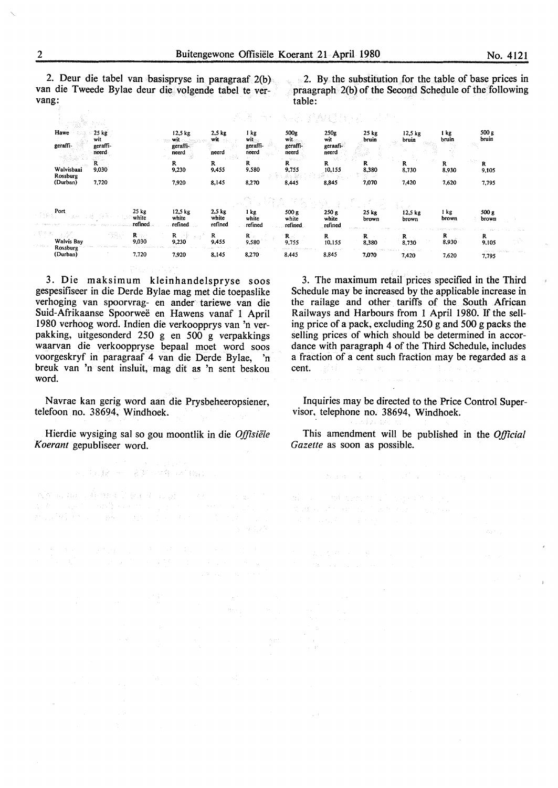2. Deur die tabel van basispryse in paragraaf 2(b) van die Tweede Bylae deur die volgende tabel te vervang:

 $\approx$  2. By the substitution for the table of base prices in praagraph 2(b) of the Second Schedule of the following table:

|                               |                                           |                                      |                                           | SAS 春日 (文化) - 天中(子) (金)春子(子) 5分  |                                  |                                  |                |                             |                     |                     |
|-------------------------------|-------------------------------------------|--------------------------------------|-------------------------------------------|----------------------------------|----------------------------------|----------------------------------|----------------|-----------------------------|---------------------|---------------------|
| Hawe<br>geraffi-              | 25 kg<br>wit<br>geraffi-<br>neerd         | 12,5 kg<br>wit<br>geraffi-<br>neerd  | 2.5 <sub>kg</sub><br>wit<br>neerd<br>- 81 | i kg<br>wit<br>geraffi-<br>neerd | 500g<br>wit<br>geraffi-<br>neerd | 250g<br>wit<br>geraafi-<br>neerd | 25 kg<br>bruin | 12.5 <sub>kg</sub><br>bruin | 1 kg<br>bruin       | 500 g<br>bruin      |
| Walvisbaai<br>Rossburg        | R.<br>9,030                               | R<br>9,230                           | R<br>9,455                                | R<br>9,580                       | Monday.<br>R<br>9,755            | No.<br>R<br>10,155               | R<br>8,380     | R<br>8,730                  | R<br>8,930          | R<br>9,105          |
| (Durban)                      | 7,720                                     | 7,920                                | 8,145                                     | 8,270                            | 8,445                            | 8,845                            | 7,070          | 7,420                       | 7,620               | 7,795               |
|                               |                                           |                                      |                                           |                                  |                                  |                                  |                |                             |                     |                     |
| Port                          | 25 kg<br>white<br>refined                 | 12,5 kg<br>white<br>refined          | $2.5$ kg<br>white<br>refined              | 1 kg<br>white<br>refined         | 500 g<br>white<br>refined        | 250 g<br>white<br>refined        | 25 kg<br>brown | $12.5$ kg<br>brown          | l kg<br>brown       | 500 g<br>brown      |
| <b>Walvis Bay</b><br>Rossburg | "鸿、<br>$\mathbf{R}^{\text{max}}$<br>9,030 | $R = \frac{1}{2}$<br>in a S<br>9,230 | R<br>9,455                                | $\mathbf{R}$<br>9,580            | $\mathbf{R} =$<br>9,755          | R<br>10,155                      | R<br>8,380     | $R -$<br>8,730              | R<br>and a<br>8,930 | R<br>9,105          |
| (Durban)                      | 7.720                                     | 7,920                                | 8,145                                     | 8,270                            | A D. A ARTHUR STAIR<br>8,445     | 8,845                            | 7,070          | 7,420                       | 7,620               | diversiter<br>7,795 |

3. Die maksimum kleinhandelspryse soos gespesifiseer in die Derde Bylae mag met die toepaslike verhoging van spoorvrag- en ander· tariewe van die Suid-Afrikaanse Spoorwee en Hawens vanaf 1 April I 980 verhoog word. Indien die verkoopprys van 'n verpakking, uitgesonderd 250 g en 500 g verpakkings waarvan die verkooppryse bepaal moet word soos voorgeskryf in paragraaf 4 van die Derde Bylae, 'n breuk van 'n sent insluit, mag dit as 'n sent beskou word.

Navrae kan gerig word aan die Prysbeheeropsiener, telefoon no. 38694, Windhoek.

Hierdie wysiging sal so gou moontlik in die *Offisiele Koerant* gepubliseer word.

所以明显是一种人名英阿拉伯姓 同时候就是一定

algramma diciba litera dan provincia in the <sup>1</sup> Property in the company of the property of the

state and company of the

3. The maximum retail prices specified in the Third Schedule may be increased by the applicable increase in the railage and other tariffs of the South African Railways and Harbours from 1 April 1980. If the selling price of a pack, excluding 250 g and 500 g packs the selling prices of which should be determined in accordance with paragraph 4 of the Third Schedule, includes a fraction of a cent such fraction may be regarded as a cent. Alti a sample

Inquiries may be directed to the Price Control Supervisor, telephone no. 38694, Windhoek.

This amendment will be published in the *Official Gazette* as soon as possible.

 $\mathcal{D}_{\mathcal{C}}(x,\sigma)=\widetilde{\mathcal{L}}_{\mathcal{C}}(x,\sigma)=\mathcal{L}^{\mathcal{C}}(x,\sigma)=\mathcal{L}^{\mathcal{C}}(x,\sigma)$ 

where  $\alpha$  is the mass in the contribution of  $\alpha$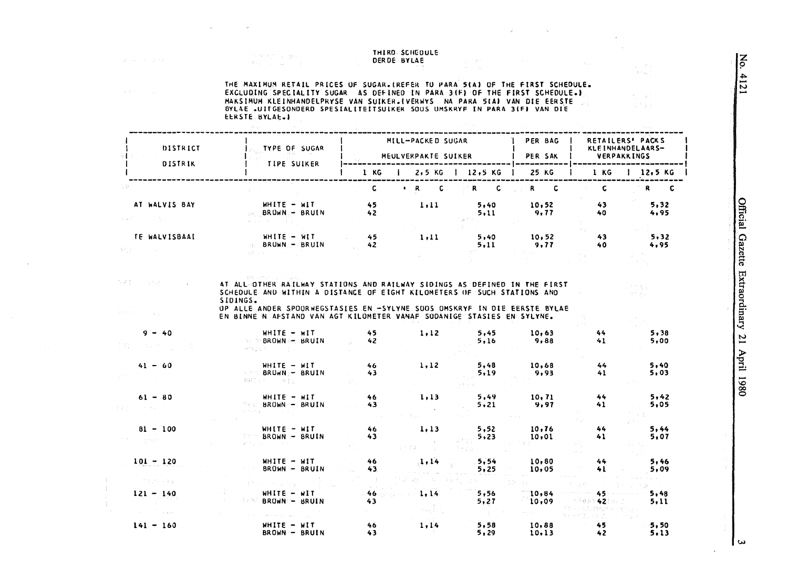### THIRD SCHEDULE DERDE BYLAE

 $\label{eq:zeta} \begin{array}{c} \zeta = -3 \, \delta \gamma \\ \gamma = -\gamma \, \zeta \end{array}$ 

Service Art Colleger

THE MAXIMUM RETAIL PRICES OF SUGAR.(REFER TO PARA 5(A) OF THE FIRST SCHEDULE. MAKSIMUM KLEINHANDELPRYSE VAN SUIKER.(VERWYS NA PARA 51A) VAN DIE EERSTE EERSTE BYLAE.I

| DISTRICT<br><b>DISTRIK</b> | TYPE OF SUGAR<br>TIPE SUIKER                                                                                                                                                                                                               |                       | MILL-PACKED SUGAR<br>MEULVERPAKTE SUIKER |                  | PER BAG<br>PER SAK | RETAILERS' PACKS<br>KLEINHANDELAARS-<br><b>VERPAKKINGS</b> |                                                         |  |
|----------------------------|--------------------------------------------------------------------------------------------------------------------------------------------------------------------------------------------------------------------------------------------|-----------------------|------------------------------------------|------------------|--------------------|------------------------------------------------------------|---------------------------------------------------------|--|
|                            |                                                                                                                                                                                                                                            | 1 KG                  | $2,5$ KG   $12,5$ KG                     |                  | <b>25 KG</b>       | 1 KG                                                       | 12,5 KG                                                 |  |
|                            |                                                                                                                                                                                                                                            | $\mathbf{c}$          | $R$ $C$                                  | $\mathbb{R}^n$ C | R C                | $\mathbf c$                                                | $R$ $C$                                                 |  |
| AT WALVIS BAY              | NHITE - WIT<br>BRUWN- BRUIN<br>$\mathcal{E}(\mathcal{A}_1)$ . $\mathcal{E}$                                                                                                                                                                | 45<br>42              | 1, 11                                    | 5,40<br>5,11     | 10,52<br>9,77      | 43<br>40                                                   | 5,32<br>4,95                                            |  |
| TE WALVISBAAI<br>9位的人      | NHITE - WIT<br><b>BRUWN-BRUIN</b>                                                                                                                                                                                                          | 45<br>42 <sub>2</sub> | 1,11                                     | 5,40<br>5,11     | 10,52<br>9,77      | 43<br>40                                                   | 5,32<br>4,95                                            |  |
|                            | SCHEDULE AND WITHIN A DISTANCE OF EIGHT KILOMETERS OF SUCH STATIONS AND<br>SIDINGS.<br>OP ALLE ANDER SPOORWEGSTASIES EN -SYLYNE SOOS OMSKRYF IN DIE EERSTE BYLAE<br>EN BINNE N AFSTAND VAN AGT KILOMETER VANAF SODANIGE STASIES EN SYLYNE. |                       |                                          |                  |                    |                                                            | $2\pi^{\frac{1}{2}}\left(\beta_{\rm C}\right)$<br>rt bu |  |
| $9 - 40$                   | $WHITE - WIT$<br><b>SEPPBROWNS-BRUIN</b><br>护假于实 经一个                                                                                                                                                                                       | 45<br>42              | 1.12                                     | 5.45<br>5,16     | 10.63<br>9,88      | 44<br>41                                                   | 5,38<br>5,00                                            |  |
| $41 - 60$                  | $WHITE - MIT$<br>BRUWN-- BRUIN<br>医阴性炎<br>2003年1月11日 1月11日                                                                                                                                                                                 | 46<br>43.             | 1, 12                                    | 5,48<br>5,19     | 10.68<br>9,93      | 44<br>41                                                   | 5,40<br>5,03                                            |  |
| $61 - 80$                  | $WHITE - MIT$<br><b>BELL-BROWN-- BRUIN</b>                                                                                                                                                                                                 | 46<br>43              | 1, 13                                    | 5,49<br>5.21     | 10, 71<br>9,97     | 44<br>41                                                   | 5,42<br>5,05                                            |  |
| $81 - 100$<br>ing a tigal  | WHITE - WIT<br>BROWN - BRUIN                                                                                                                                                                                                               | 46<br>43              | 1, 13                                    | 5,52<br>5,23     | 10,76<br>10.01     | 44<br>41                                                   | 5,44<br>5,07                                            |  |
| $101 - 120$<br>计原始式 经平衡金额  | WHITE - WIT<br>BROWN - BRUIN                                                                                                                                                                                                               | 46<br>43.             | 1, 14                                    | 5.54<br>5,25     | 10,80<br>10,05     | 44<br>41                                                   | 5,46<br>5,09<br>and the                                 |  |
| $121 - 140$                | 法有效 计分布 医牙状炎<br>$WHITE - WIT$<br>しゃねん<br><b>BROWN - BRUIN</b>                                                                                                                                                                              | .46<br>43             | 1.14                                     | 5,56<br>5.27     | 10,84<br>10.09     | 45<br>6.5942                                               | 5,48<br>5, 11                                           |  |
| $141 - 160$                | $H$ HITE - WIT<br>BROWN - BRUIN                                                                                                                                                                                                            | 46<br>$43 -$          | 1,14                                     | 5,58<br>5,29     | 10,88<br>10,13     | 45<br>42                                                   | 5,50<br>5.13                                            |  |

No. 4121

 $\lambda$ 

is collect

 $\epsilon = \frac{1}{2}$  .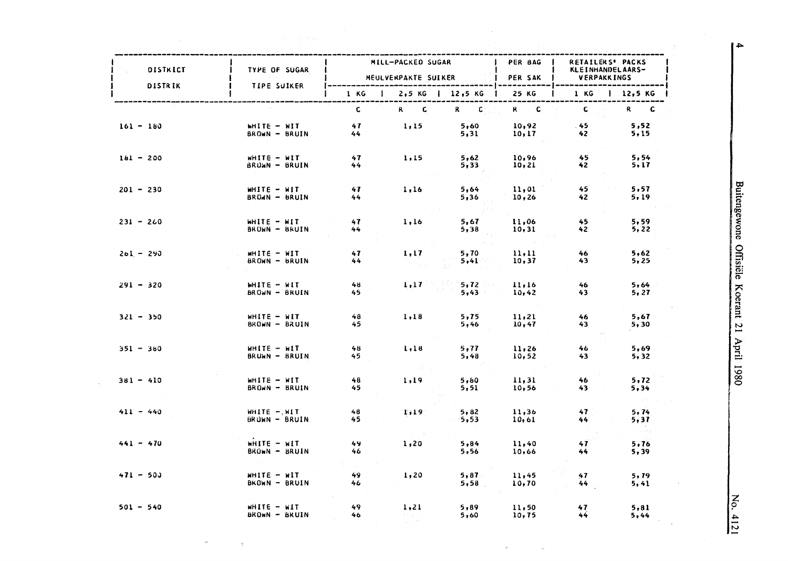| DISTRICT<br><b>DISTRIK</b> | TYPE OF SUGAR<br><b>TIPE SUIKER</b> |                       | MILL-PACKED SUGAR<br>MEULVERPAKTE SUIKER    |                                        | PER BAG<br>PER SAK | <b>RETAILERS' PACKS</b><br>KLEINHANDELAARS-<br><b>VERPAKKINGS</b> |                |  |
|----------------------------|-------------------------------------|-----------------------|---------------------------------------------|----------------------------------------|--------------------|-------------------------------------------------------------------|----------------|--|
|                            |                                     | 1 KG<br>$\mathbf{I}$  |                                             | $2,5$ KG   12,5 KG                     | 25 KG              | 1 KG                                                              | 12,5 KG        |  |
|                            |                                     | $\mathbf{C}$          | $R$ $C$                                     | $\mathbf{R} = -\mathbf{C}$             | $R = C$            | $\mathbf{C}$                                                      | R C            |  |
| $161 - 180$                | WHITE - WIT<br>BROWN - BRUIN        | 47<br>44              | 1,15                                        | 5,60<br>5,31                           | 10,92<br>10, 17    | $-45$<br>42                                                       | 5,52<br>5,15   |  |
| $181 - 200$                | $WHTE - WIT$<br>BRUWN - BRUIN       | 47<br>44              | 1,15                                        | 5,62<br>5,33                           | 10,96<br>10, 21    | 45<br>42                                                          | 5,54<br>5,17   |  |
| $201 - 230$                | $H = -H$<br>BROWN - BRUIN           | 47<br>44              | 1, 16                                       | 5,64<br>5,36                           | 11,01<br>10,26     | 45<br>42                                                          | 5,57<br>5,19   |  |
| $231 - 260$                | WHITE - WIT<br>BROWN - BRUIN        | 47<br>44              | 1,16                                        | 5,67<br>5,38                           | 11,06<br>10, 31    | 45<br>42                                                          | 5,59<br>5, 22  |  |
| $201 - 290$                | MHITE - WIT<br>BROWN - BRUIN        | 47.<br>44             | 1,17                                        | 5,70<br>5,41                           | 11, 11<br>10,37    | 46<br>43                                                          | 5,62<br>5,25   |  |
| $291 - 320$                | WHITE - WIT<br>BROWN - BRUIN        | 48<br>$45 -$          | 1, 17                                       | $5,72$ and $7,72$<br>$5,43$ and $\sim$ | 11,16<br>10,42     | 46<br>43                                                          | 5,64<br>5, 27  |  |
| $321 - 350$                | WHITE - WIT<br>BROWN - BRUIN        | 48<br>45              | 1,18                                        | 5,75<br>5,46                           | 11,21<br>10,47     | 46<br>43                                                          | 5,67<br>5,30   |  |
| $351 - 380$                | $MHTE - MIT$<br>BRUWN - BRUIN       | 48<br>45 <sub>z</sub> | 1,18                                        | 5,77<br>5,48                           | 11,26<br>10, 52    | 46<br>43                                                          | 5,69<br>5,32   |  |
| $381 - 410$                | WHITE - WIT<br>BROWN - BRUIN        | 48<br>45              | 1, 19                                       | 5,80<br>5,51                           | 11, 31<br>10,56    | 46<br>43                                                          | 5, 72<br>5.34  |  |
| $411 - 440$                | $WHITE - MIT$<br>BRUWN - BRUIN      | 48<br>45              | 1,19                                        | 5,82<br>5,53                           | 11,36<br>10,61     | 47<br>44                                                          | 5, 74<br>5, 37 |  |
| $441 - 470$                | WHITE - WIT<br>BROWN - BRUIN        | 49<br>46              | 1,20                                        | 5,84<br>5,56                           | 11,40<br>10,66     | 47<br>44                                                          | 5,76<br>5,39   |  |
| $471 - 500$                | WHITE - WIT<br>BROWN - BRUIN        | 49<br>46              | 1, 20                                       | 5,87<br>5,58                           | 11,45<br>10,70     | 47<br>44                                                          | 5, 79<br>5,41  |  |
| $501 - 540$                | WHITE - WIT<br><b>BROWN - BRUIN</b> | 49<br>46              | 1, 21<br>かちないりょ<br>$\gamma_{\rm eff} = 0.8$ | 5,89<br>5,60                           | 11,50<br>10,75     | 47<br>$44^{1}$                                                    | 5,81<br>5,44   |  |

 $\hat{\tau}$ 

 $\frac{1}{\sqrt{2}}$ 

 $\sim$ 

 $\omega$ 

 $\mathcal{L}$ 

No. 4121

 $\mathcal{L}$ 

 $\overline{1}$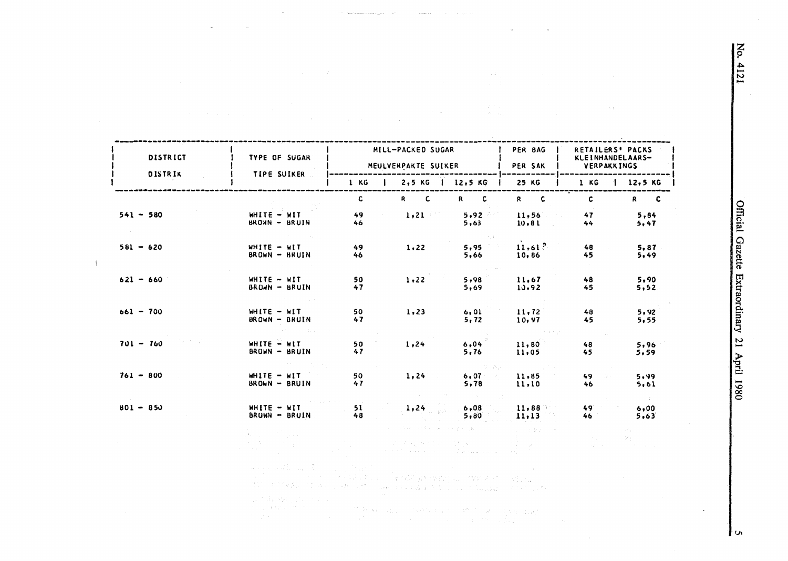$\mathbf{z}$ 4121

Official Gazette Extraordinary  $\overline{21}$ April 1980

MILL-PACKED SUGAR PER BAG RETAILERS' PACKS DISTRICT TYPE OF SUGAR KLEINHANDELAARS-MEULVERPAKTE SUIKER PER SAK **VERPAKKINGS** DISTRIK TIPE SUIKER .<br>Ang katalog ang pagpalang pagpalang pagpa  $1 KG$ 2,5 KG | 12,5 KG 25 KG  $1 KG$  $12,5 KG$ -1  $\mathbf{c}$ R<sub>C</sub>  $R$  $\mathbf c$  $R$   $C$  $\mathbf{C}$ R C  $541 - 580$ WHITE - WIT 49  $1, 21$  $5.92$  $11.56$ 47  $5.84$ BROWN - BRUIN 46  $5,63$  $10, 81$  $44$  $5,47$  $\mathbf{r}$  .  $11,61?$  $581 - 620$ WHITE - WIT 49 5,95 48  $1,22$  $5,87$ BROWN - BRUIN  $45$  $5,49$ 46 5,66 10,86  $621 - 660$ WHITE - WIT 50  $1.22$  $5,98$ 11.67  $48$  $5.90$ BROWN - BRUIN  $47$  $5,69$ 10,92 45  $5,52.$  $661 - 700$ WHITE - WIT 50  $1,23$  $6,01$ 11,72 48  $5,92$ BROWN - BRUIN  $47$  $5, 72$ 10,97 45  $5,55$  $701 - 760$ WHITE - WIT 50  $1,24$  $6,04$ 11,80 48 5,96 BROWN - BRUIN  $41$  $5,76$  $45$ 11,05 5,59  $761 - 800$ WHITE - WIT 50  $1,24$  $6,07$  $11,85$ 49 5,99 BROWN - BRUIN 47 5,78 11,10 46  $5,61$  $801 - 850$ WHITE - WIT 51  $6,08$ 11,88 49  $1,24$  $6,00$ BRUWN - BRUIN 48  $5,80$  $11,13$ 46  $5,63$  $\alpha = \alpha_{\rm{min}}$ 

> se pod podľa su stát 승규는 언제를 보고 들어갔던 것에 가장 하지도 모습했어요? 300 年的保护 (1) (4) 2000 -

第二次, 内容的是一个

 $\frac{1}{2}$ 

**South Additional Project** 18 W. A. L. C. A. P. L. L. C. M. L. R. C. L. C. L. L. P. an Barton

l u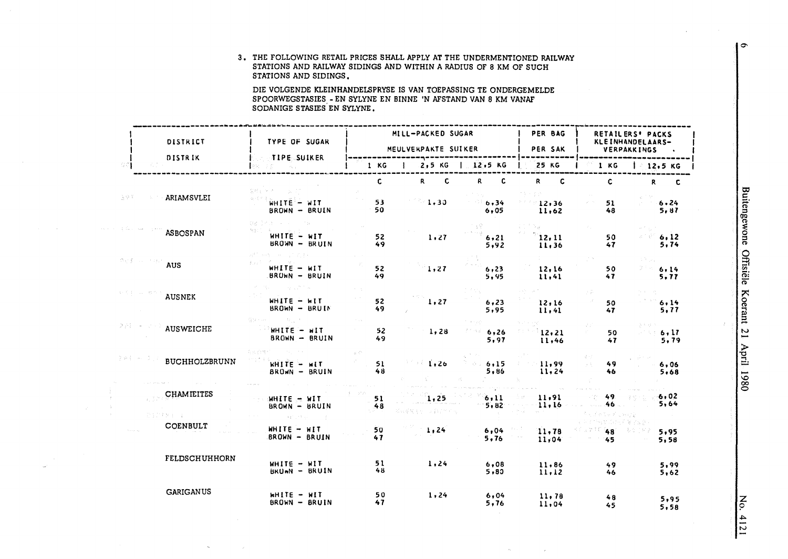| 3. THE FOLLOWING RETAIL PRICES SHALL APPLY AT THE UNDERMENTIONED RAILWAY |
|--------------------------------------------------------------------------|
| STATIONS AND RAILWAY SIDINGS AND WITHIN A RADIUS OF 8 KM OF SUCH         |
| STATIONS AND SIDINGS.                                                    |

DIE VOLGENDE KLEINHANDELSPRYSE IS VAN TOEPASSING TE ONDERGEMELDE SPOORWEGSTASIES - EN SYLYNE EN BINNE 'N AFSTAND VAN 8 KM VANAF SODANIGE STASIES EN SYLYNE.

|                                                                                                             | DISTRICT              | TYPE OF SUGAR                                                |           | MILL-PACKED SUGAR<br>MEULVERPAKTE SUIKER |                        | PER BAG<br>PER SAK |                                      | RETAILERS' PACKS<br>KLEINHANDELAARS-<br>VERPAKKINGS |
|-------------------------------------------------------------------------------------------------------------|-----------------------|--------------------------------------------------------------|-----------|------------------------------------------|------------------------|--------------------|--------------------------------------|-----------------------------------------------------|
| 8 C J                                                                                                       | <b>DISTRIK</b>        | <b>TIPE SUIKER</b><br>$\sim 10^{11}$ km $^{-1}$              | 1 KG      | 2.5 KG   12.5 KG<br>$\mathbf{I}$         |                        | <b>25 KG</b>       | 1 KG                                 | 12,5 KG                                             |
|                                                                                                             |                       | 승선민 에 씨는                                                     | C.        | R <sub>a</sub><br>-C.                    | c<br>R.                | R.<br>-C           | C                                    | R<br><b>C</b>                                       |
| 금주조                                                                                                         | ARIAMSVLEI            | WHITE - WIT<br>BROWN - BRUIN                                 | 53<br>50  | 1.30                                     | 6,34<br>6,05           | 12,36<br>11.62     | 51<br>48                             | 6.24<br>5,87                                        |
|                                                                                                             | <b>ASBOSPAN</b>       | 寝る ふれき しょうようし けおし<br>$WHITE - HIT$<br>BROWN - BRUIN          | 52<br>49  | 1,27                                     | 6, 21<br>5,92          | 12.11<br>11,36     | 50<br>47                             | 6.12<br>5, 74                                       |
| $\phi_{\mathcal{R}}(\mathbf{f}) \sim \mathcal{L}(\mathbf{f}) \mathcal{L}(\mathbf{A} \mathbf{U} \mathbf{S})$ |                       | 経験 中性 しゃしょり おすいし<br>WHITE - WIT<br>BROWN - BRUIN             | 52<br>49  | 1,27                                     | 6, 23<br>5,95          | 12,16<br>11,41     | 50<br>47                             | 6.14<br>5, 77                                       |
|                                                                                                             | <b>AUSNEK</b>         | $WHITE - HIT$<br>BROWN - BRUIN                               | 52<br>49  | 1,27                                     | 6, 23<br>5,95          | 12,16<br>11,41     | 50<br>47                             | 6.14<br>5,77                                        |
| 291 - 4                                                                                                     | AUSWEICHE             | 알 그는 나라<br>$H = 311HH$<br>BROWN - BRUIN                      | 52<br>49  | 1,28                                     | 6,26<br>19 M.H<br>5,97 | 12,21<br>11,46     | 50<br>47                             | 6.17<br>5,79                                        |
| 复格条 网络真实                                                                                                    | <b>BUCHHOLZBRUNN</b>  | 有张石博作<br>WHITE - WIT<br>BROWN - BRUIN                        | 51<br>48  | 1,26                                     | 6,15<br>5,86           | 11,99<br>11,24     | 49<br>op Eng<br>46                   | 6,06<br>5.68                                        |
|                                                                                                             | <b>CHAMIEITES</b>     | HHITE - WIT<br>BROWN - BRUIN                                 | 51<br>48  | 1,25<br>网络爱好好的 医乳房产的                     | 6, 11<br>5.82          | 11,91<br>11,16     | 49.<br>.46<br>うごとしゃ にいげる             | 6,02<br>5,64                                        |
|                                                                                                             | 最ものもめましょう<br>COENBULT | Constant Little group of the<br>WHITE - WIT<br>BROWN - BRUIN | 50<br>47  | 1,24                                     | 6,04<br>5.76           | 11,78<br>11,04     | 作用的工作用药量空气袋<br><b>AZIK 48</b><br>45. | 5,95<br>5,58                                        |
|                                                                                                             | <b>FELDSCHUHHORN</b>  | WHITE - WIT<br>BRUWN - BRUIN                                 | 51<br>48. | 1,24                                     | 6,08<br>5,80           | 11.86<br>11,12     | 49<br>46                             | 5,99<br>5,62                                        |
|                                                                                                             | <b>GARIGANUS</b>      | $H$ HITE - $H$ IT<br>BROWN - BRUIN                           | 50<br>47  | 1,24                                     | 6,04<br>5,76           | 11,78<br>11,04     | 48<br>45                             | 5,95<br>5,58                                        |

 $\rightarrow$ 

Buitengewone Offisiële Koerant 21 April 1980

No. 4121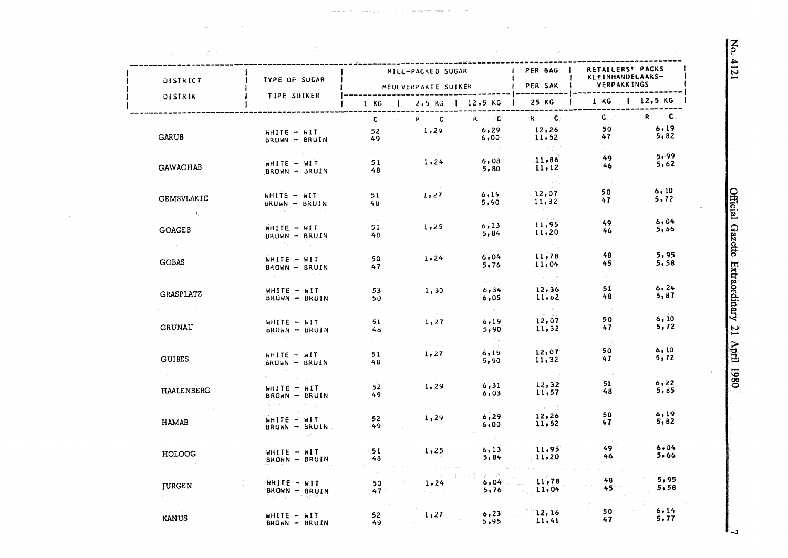| DISTRICT          | <b>TYPE OF SUGAR</b>                       |                                | MILL-PACKED SUGAR<br>MEULVERPAKTE SUIKER |                          | I PER BAG<br><b>PER SAK</b> | <b>RETAILERS" PACKS</b><br>KLEINHANDELAARS-<br><b>VERPAKKINGS</b> |                             |
|-------------------|--------------------------------------------|--------------------------------|------------------------------------------|--------------------------|-----------------------------|-------------------------------------------------------------------|-----------------------------|
| <b>DISTRIK</b>    | <b>TIPE SUIKER</b>                         |                                | 1 KG   2,5 KG   12,5 KG   25 KG          |                          |                             | 1 KG                                                              | 12,5 K                      |
|                   |                                            | $\mathbf{c}$<br><b>College</b> | $P$ C                                    | $R$ $C$                  | $R = C$                     | $\mathsf{C}$ , and                                                | R C                         |
|                   | WHITE - WIT                                | 52                             | 1,29                                     | 6, 29                    | 12,26                       | 50                                                                | 6.19                        |
| <b>GARUB</b>      | BROWN - BRUIN                              | 49                             |                                          | 6,00                     | 11,52                       | 47                                                                | 5,82                        |
|                   |                                            |                                |                                          |                          | 一つ うちの<br>11,86             | 18.187<br>49.                                                     | 5, 99                       |
| GAWACHAB          | WHITE - WIT                                | 51<br>48.                      | 1,24                                     | 6,08<br>5,80             | 11, 12                      | 46                                                                | 5,62                        |
|                   | BROWN - BRUIN                              |                                |                                          |                          |                             | ne Go                                                             |                             |
|                   |                                            |                                |                                          | $\sim 10^{-1}$ .<br>6,19 | 12,07                       | 50                                                                | 6, 10                       |
| <b>GEMSVLAKTE</b> | WHITE - WIT<br><b>BRUWN - BRUIN</b>        | 51<br>4 ⊎                      | 1,27                                     | 5,90                     | 11,32                       | 47.                                                               | 5, 72                       |
| $\mathcal{L}$     |                                            |                                |                                          |                          | a na pop                    |                                                                   |                             |
|                   | WHITE - WIT                                | 51                             | 1,25                                     | 6, 13                    | Download<br>11,95           | 49.                                                               | 6,04                        |
| <b>GOAGEB</b>     | $BRONN - BRUIN$                            | 48                             |                                          | 5,84                     | 11,20                       | 46                                                                | 5,56                        |
|                   |                                            |                                |                                          |                          |                             |                                                                   |                             |
| <b>GOBAS</b>      | $WHITE - HIT$                              | 50                             | 1.24                                     | 6,04                     | 11.78                       | 48                                                                | 5,95                        |
|                   | BROWN - BRUIN                              | 47                             |                                          | 5,76                     | 11,04                       | 45                                                                | 5,58                        |
|                   |                                            |                                |                                          |                          | i i sera<br>na na           |                                                                   |                             |
| <b>GRASPLATZ</b>  | $WHITE - MIT$                              | 53                             | 1,30                                     | 6, 34                    | 12,36                       | 51.<br>48                                                         | 6.24<br>5,87                |
|                   | BROWN - BRUIN                              | 50.                            |                                          | 6,05<br>in all           | 11,62<br>$\sim 20-33.2$     | - 5                                                               | $\omega \sim 25$            |
| an ang P          |                                            |                                |                                          | 6,19                     | 12,07                       | 50                                                                | 6, 10                       |
| <b>GRUNAU</b>     | WHITE - WIT<br><b>BROWN - BRUIN</b>        | 51<br>48                       | 1,27                                     | 5,90                     | 11,32                       | 47                                                                | 5,72                        |
|                   |                                            | 84                             |                                          |                          |                             | $\rightarrow -\frac{1}{2} \frac{1}{\mu}$ .                        | $\sim 10^{11}$ km s $^{-1}$ |
|                   | $WHITE - MIT$                              | 51                             | $\chi^2 = 8 \pi r_2$<br>1,27             | 6,19                     | 12,07                       | 50                                                                | 6, 10                       |
| <b>GUIBES</b>     | BRUWN - BRUIN                              | 48.                            |                                          | 5,90                     | 11,32                       | 47                                                                | 5,72                        |
|                   | A consideration of the con-                |                                |                                          |                          | 计中心型器                       | $\gamma_1$ , at                                                   |                             |
|                   | $WHIFE - WIT$                              | 52                             | 1.29                                     | 6, 31                    | 12, 32                      | $51^{\circ}$                                                      | 6, 22                       |
| <b>HAALENBERG</b> | BROWN - BRUIN                              | 49.                            |                                          | 6,03                     | 11,57                       | 48                                                                | 5,85                        |
|                   | 제도 아프리카 아이 나라 일이다.                         | $\sim 10^{-1}$                 |                                          |                          | 大学の内容                       |                                                                   | 6,19                        |
| <b>HAMAB</b>      | WHITE - WIT                                | 52                             | 1,29                                     | 6,29<br>6,00             | 12,26<br>11,52              | 50<br>47.                                                         | 5,82                        |
|                   | $BROM = BRUIN$<br><b>Contract District</b> | 49.                            |                                          | 一次的                      |                             |                                                                   |                             |
|                   |                                            |                                |                                          | 6.13                     | in a shekara<br>11,95       | 49.                                                               | 6.04                        |
| HOLOOG            | WHITE - WIT<br>BROWN - BRUIN               | 51<br>48                       | 1,25                                     | 5,84                     | 11,20                       | 46                                                                | 5,66                        |
|                   |                                            |                                |                                          |                          |                             |                                                                   |                             |
|                   | $WHITE - WIT$                              | 50                             | 1,24                                     | <b>Carl Light</b>        | $6,04$ 11,78                | 48                                                                | 5,95                        |
| <b>JURGEN</b>     | $BROWN - BRUIN$                            | 47 <sup>o</sup>                |                                          | 5,76                     | 11,04                       | 45                                                                | 5.58                        |
|                   |                                            |                                |                                          |                          |                             |                                                                   |                             |
| <b>KANUS</b>      | $M = 311H$                                 | 52 <sub>2</sub>                | 1,27                                     | 6, 23                    | 12,16                       | 50<br>47                                                          | 6.14<br>5,77                |
|                   | $BROWN - BRUIN$                            | 49.                            |                                          | 5,95                     | 11,41                       |                                                                   |                             |

 $\sim 10^{-1}$ 

No. 4121

Official Gazette Extraordinary 21 April 1980

 $\Delta$ 

د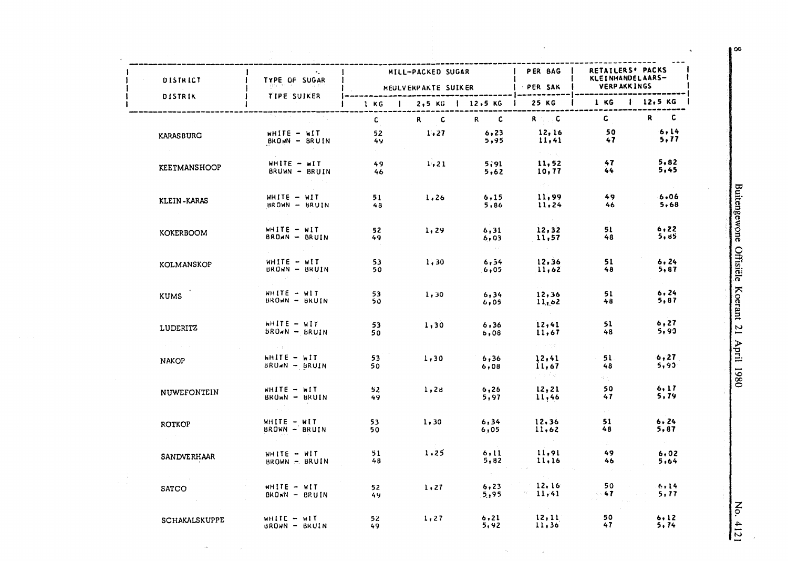| <b>DISTRICT</b>     | TYPE OF SUGAR                           |           | MILL-PACKED SUGAR<br><b>HEULVERPAKTE SUIKER</b> |                              | PER BAG<br><b>PER SAK</b>           | RETAILERS' PACKS<br>KLEINHANDELAARS-<br><b>VERPAKKINGS</b> |                                |
|---------------------|-----------------------------------------|-----------|-------------------------------------------------|------------------------------|-------------------------------------|------------------------------------------------------------|--------------------------------|
| DISTRIK             | <b>TIPE SUIKER</b>                      | 1 KG      |                                                 | 2,5 KG   12,5 KG             | 25 KG                               | 1 KG                                                       | 12,5K                          |
|                     |                                         | c         | $\mathbf c$<br>$\mathbf{R}$                     | R<br>$\overline{\mathbf{c}}$ | $R = 1$                             | c.                                                         | R<br>c                         |
| <b>KARASBURG</b>    | $WHITE - MIT$<br>BROWN - BRUIN          | 52<br>49  | 1,27                                            | 6, 23<br>5,95                | 12,16<br>11,41                      | 50<br>47                                                   | 6,14<br>5,77                   |
| <b>KEETMANSHOOP</b> | $WHITE - MIT$<br>BRUWN - BRUIN          | 49<br>46  | 1, 21                                           | 5,91<br>5,62                 | in a se<br>11,52<br>10,77           | 47<br>44                                                   | 5,82<br>5,45                   |
| KLEIN-KARAS         | $WHITE - WIT$<br>BROWN - BRUIN          | 51<br>48  | 1,26                                            | 6,15<br>5,86                 | anti-se<br>11,99<br>11,24           | 49<br>46                                                   | 6.06<br>5,68                   |
| <b>KOKERBOOM</b>    | WHITE - WIT<br>BROWN - BRUIN            | 52<br>49. | 1,29                                            | 6, 31<br>6,03                | 12, 32<br>11,57                     | 51<br>48                                                   | 6, 22<br>5,85                  |
| KOLMANSKOP          | $WHITE - WIT$<br>BROWN - BRUIN          | 53<br>50  | 1.30                                            | 6, 54<br>6,05                | 12,36<br>11,62                      | 51<br>48                                                   | 6, 24<br>5,87                  |
| <b>KUMS</b>         | WHITE - WIT<br>BROWN - BRUIN            | 53<br>50. | 1,30                                            | 6, 34<br>6,05                | 12,36<br>11,62                      | 51<br>48                                                   | 6, 24<br>5,87                  |
| <b>LUDERITZ</b>     | WHITE - WIT<br>$BROAN - BRUIN$          | 53<br>50  | 1,30                                            | 6, 36<br>6,08                | <b>Service</b><br>12,41<br>11,67    | 51<br>48                                                   | 6, 27<br>5,90                  |
| <b>NAKOP</b>        | $H\Pi$ $\vdash$ $H\Pi$<br>BRUWN - BRUIN | 53<br>50  | 1,30                                            | 6,36<br>6,08                 | 经一个时间<br>12,41<br>11,67<br>ਨਾ ਸਾਹਿਬ | 51.<br>48                                                  | 6,27<br>5,93                   |
| NUWEFONTEIN         | WHITE - WIT<br>BRUWN - BRUIN            | 52<br>49  | 1, 26                                           | 6,26<br>5,97                 | 12, 21<br>11,46                     | 하는<br>50<br>47                                             | 6, 17<br>5,79                  |
| <b>ROTKOP</b>       | WHITE - WIT<br>BROWN - BRUIN            | 53<br>50  | 1,30                                            | 6, 34<br>6,05                | 12,36<br>11,62                      | すごう<br>51<br>48                                            | 6.24<br>5, 87                  |
| SANDVERHAAR         | WHITE - WIT<br>BROWN - BRUIN            | 51<br>48  | 1,25                                            | 6, 11<br>5,82                | 11,91<br>11.16                      | r de<br>49<br>46                                           | $\sim 10^{11}$<br>6.02<br>5,64 |
| SATCO               | WHITE - WIT<br>$BROWN - BRUIN$          | 52<br>49  | 1, 27                                           | $\sim 200$<br>6, 23<br>5,95  | 12, 16<br>11,41                     | 50<br>47                                                   | 6,14<br>5, 77                  |
| SCHAKALSKUPPE       | WHITE - WIT<br>BROWN - BRUIN            | 52<br>49  | $\sim 0.1$<br>1, 27                             | 6, 21<br>5,92                | province and<br>12, 11<br>11,36     | 50<br>47                                                   | 6.12<br>5, 74                  |

 $\omega_{\rm{e}}$ 

 $\mathcal{A}$ 

 $\langle \hat{a}_k \rangle$ 

 $\langle \rangle_{\mathcal{A}}$ 

No. 4121

 $\bullet$ 

 $\mathcal{A}^{\pm}$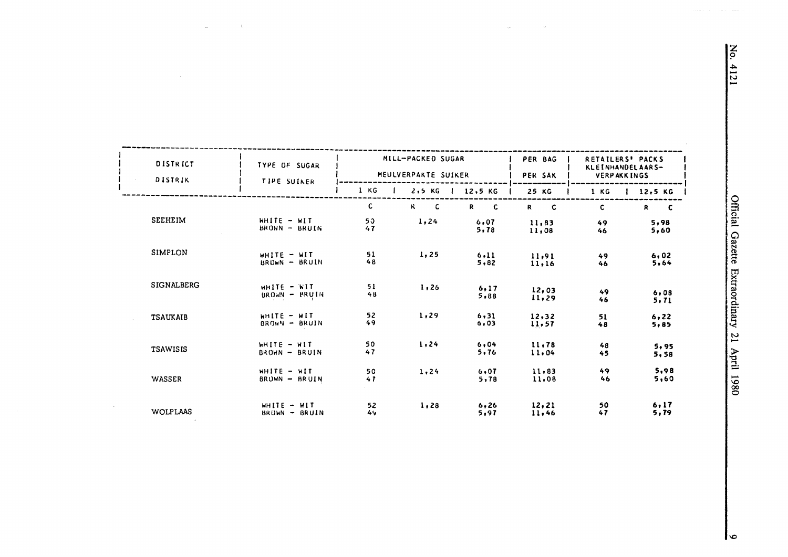| <b>DISTRICT</b><br>DISTRIK | TYPE OF SUGAR<br><b>TIPE SUIKER</b>                      |          | MILL-PACKED SUGAR<br>MEULVERPAKTE SUIKER |                                | PER BAG<br>PER SAK | <b>RETAILERS' PACKS</b><br>KLEINHANDELAARS-<br><b>VERPAKKINGS</b> |               |  |
|----------------------------|----------------------------------------------------------|----------|------------------------------------------|--------------------------------|--------------------|-------------------------------------------------------------------|---------------|--|
|                            |                                                          | 1 KG     | $2.5$ KG<br>$\mathbf{I}$                 | 12,5 KG                        | 25 KG              | 1 KG                                                              | $12,5$ KG     |  |
|                            |                                                          | C        | $R_{\perp}$<br>$\overline{\mathbf{C}}$   | $\mathbf{R}$<br>$\overline{c}$ | $R$ $C$            | C                                                                 | R<br>- C      |  |
| <b>SEEHEIM</b>             | $WHITE - HIT$<br>BROWN - BRUIN                           | 50<br>47 | 1,24                                     | 6.07<br>5,78                   | 11,83<br>11,08     | 49<br>46                                                          | 5,98<br>5,60  |  |
| <b>SIMPLON</b>             | WHITE - WIT<br>BROWN - BRUIN                             | 51<br>48 | 1,25                                     | 6,11<br>5.82                   | 11,91<br>11,16     | 49<br>46                                                          | 6,02<br>5,64  |  |
| <b>SIGNALBERG</b>          | $H$ $H$ $H$ $F$ $F$ $F$ $F$ $F$ $F$ $F$<br>BROWN - PRUIN | 51<br>48 | 1,26                                     | 6.17<br>5,88                   | 12,03<br>11,29     | 49<br>46                                                          | 6,08<br>5, 71 |  |
| <b>TSAUKAIB</b>            | $WHITE - HIT$<br>BROWN - BRUIN                           | 52<br>49 | 1,29                                     | 6, 31<br>6,03                  | 12.32<br>11,57     | 51<br>48                                                          | 6, 22<br>5,85 |  |
| <b>TSAWISIS</b>            | WHITE - WIT<br>$BROHN - BRUIN$                           | 50<br>47 | 1,24                                     | 6,04<br>5,76                   | 11.78<br>11.04     | 48<br>45                                                          | 5,95<br>5,58  |  |
| WASSER                     | WHITE - WIT<br>BRUWN - BRUIN                             | 50<br>47 | 1.24                                     | 6,07<br>5,78                   | 11,83<br>11,08     | 49<br>46                                                          | 5.98<br>5,60  |  |
| <b>WOLPLAAS</b>            | WHITE $-$ WIT<br>BRUWN - BRUIN                           | 52<br>49 | 1,28                                     | 6.26<br>5,97                   | 12,21<br>11,46     | 50<br>47                                                          | 6.17<br>5,79  |  |

 $\bar{\omega}$ 

 $\mathcal{L}$ 

 $\bar{z}$ 

 $\mathcal{A}$